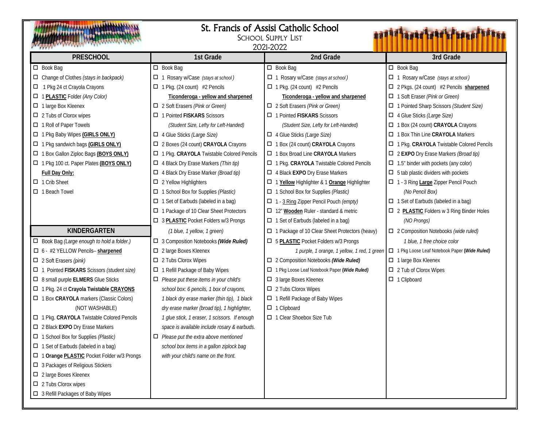| WAAMAAMAAMAAMAAMAA<br><b>Mile-references</b>     | St. Francis of Assisi Catholic School<br><b>BET HET LANGERERE</b><br><b>SCHOOL SUPPLY LIST</b><br>2021-2022 |                                                  |                                                                                                  |  |  |
|--------------------------------------------------|-------------------------------------------------------------------------------------------------------------|--------------------------------------------------|--------------------------------------------------------------------------------------------------|--|--|
| <b>PRESCHOOL</b>                                 | 1st Grade                                                                                                   | 2nd Grade                                        | 3rd Grade                                                                                        |  |  |
| $\Box$ Book Bag                                  | $\Box$ Book Bag                                                                                             | $\Box$ Book Bag                                  | $\Box$ Book Bag                                                                                  |  |  |
| $\Box$ Change of Clothes (stays in backpack)     | □ 1 Rosary w/Case (stays at school)                                                                         | □ 1 Rosary w/Case (stays at school)              | $\Box$ 1 Rosary w/Case (stays at school)                                                         |  |  |
| 1 Pkg 24 ct Crayola Crayons                      | $\Box$ 1 Pkg. (24 count) #2 Pencils                                                                         | $\Box$ 1 Pkg. (24 count) #2 Pencils              | □ 2 Pkgs. (24 count) #2 Pencils sharpened                                                        |  |  |
| 1 PLASTIC Folder (Any Color)                     | Ticonderoga - yellow and sharpened                                                                          | Ticonderoga - yellow and sharpened               | $\Box$ 1 Soft Eraser (Pink or Green)                                                             |  |  |
| $\Box$ 1 large Box Kleenex                       | □ 2 Soft Erasers (Pink or Green)                                                                            | □ 2 Soft Erasers (Pink or Green)                 | □ 1 Pointed Sharp Scissors (Student Size)                                                        |  |  |
| 2 Tubs of Clorox wipes<br>□.                     | □ 1 Pointed FISKARS Scissors                                                                                | □ 1 Pointed FISKARS Scissors                     | $\Box$ 4 Glue Sticks (Large Size)                                                                |  |  |
| □ 1 Roll of Paper Towels                         | (Student Size, Lefty for Left-Handed)                                                                       | (Student Size, Lefty for Left-Handed)            | □ 1 Box (24 count) CRAYOLA Crayons                                                               |  |  |
| 1 Pkg Baby Wipes (GIRLS ONLY)<br>□.              | 4 Glue Sticks (Large Size)                                                                                  | $\Box$ 4 Glue Sticks (Large Size)                | □ 1 Box Thin Line CRAYOLA Markers                                                                |  |  |
| 1 Pkg sandwich bags (GIRLS ONLY)                 | D 2 Boxes (24 count) CRAYOLA Crayons                                                                        | □ 1 Box (24 count) CRAYOLA Crayons               | I 1 Pkg. CRAYOLA Twistable Colored Pencils                                                       |  |  |
| 1 Box Gallon Ziploc Bags (BOYS ONLY)             | T 1 Pkg. CRAYOLA Twistable Colored Pencils                                                                  | □ 1 Box Broad Line CRAYOLA Markers               | $\Box$ 2 EXPO Dry Erase Markers (Broad tip)                                                      |  |  |
| □ 1 Pkg 100 ct. Paper Plates (BOYS ONLY)         | $\Box$ 4 Black Dry Erase Markers (Thin tip)                                                                 | I 1 Pkg. CRAYOLA Twistable Colored Pencils       | $\Box$ 1.5" binder with pockets (any color)                                                      |  |  |
| <b>Full Day Only:</b>                            | $\Box$ 4 Black Dry Erase Marker (Broad tip)                                                                 | 4 Black EXPO Dry Erase Markers                   | $\Box$ 5 tab plastic dividers with pockets                                                       |  |  |
| $\Box$ 1 Crib Sheet                              | $\square$ 2 Yellow Highlighters                                                                             | □ 1 Yellow Highlighter & 1 Orange Highlighter    | □ 1 - 3 Ring Large Zipper Pencil Pouch                                                           |  |  |
| □ 1 Beach Towel                                  | □ 1 School Box for Supplies (Plastic)                                                                       | $\Box$ 1 School Box for Supplies (Plastic)       | (No Pencil Box)                                                                                  |  |  |
|                                                  | $\Box$ 1 Set of Earbuds (labeled in a bag)                                                                  | $\Box$ 1 - 3 Ring Zipper Pencil Pouch (empty)    | □ 1 Set of Earbuds (labeled in a bag)                                                            |  |  |
|                                                  | □ 1 Package of 10 Clear Sheet Protectors                                                                    | 12" Wooden Ruler - standard & metric<br>□.       | <b>D</b> 2 <b>PLASTIC</b> Folders w 3 Ring Binder Holes                                          |  |  |
|                                                  | □ 3 PLASTIC Pocket Folders w/3 Prongs                                                                       | $\Box$ 1 Set of Earbuds (labeled in a bag)       | (NO Prongs)                                                                                      |  |  |
| KINDERGARTEN                                     | (1 blue, 1 yellow, 1 green)                                                                                 | □ 1 Package of 10 Clear Sheet Protectors (heavy) | $\Box$ 2 Composition Notebooks (wide ruled)                                                      |  |  |
| $\Box$ Book Bag (Large enough to hold a folder.) | □ 3 Composition Notebooks (Wide Ruled)                                                                      | □ 5 PLASTIC Pocket Folders w/3 Prongs            | 1 blue, 1 free choice color                                                                      |  |  |
| $\Box$ 6 - #2 YELLOW Pencils- sharpened          | $\Box$ 2 large Boxes Kleenex                                                                                |                                                  | 1 purple, 1 orange, 1 yellow, 1 red, 1 green $\Box$ 1 Pkg Loose Leaf Notebook Paper (Wide Ruled) |  |  |
| $\Box$ 2 Soft Erasers (pink)                     | □ 2 Tubs Clorox Wipes                                                                                       | D 2 Composition Notebooks (Wide Ruled)           | $\Box$ 1 large Box Kleenex                                                                       |  |  |
| □ 1 Pointed FISKARS Scissors (student size)      | □ 1 Refill Package of Baby Wipes                                                                            | 1 Pkg Loose Leaf Notebook Paper (Wide Ruled)     | □ 2 Tub of Clorox Wipes                                                                          |  |  |
| □ 8 small purple <b>ELMERS</b> Glue Sticks       | $\Box$ Please put these items in your child's                                                               | $\Box$ 3 large Boxes Kleenex                     | $\Box$ 1 Clipboard                                                                               |  |  |
| □ 1 Pkg. 24 ct Crayola Twistable CRAYONS         | school box: 6 pencils, 1 box of crayons,                                                                    | $\Box$ 2 Tubs Clorox Wipes                       |                                                                                                  |  |  |
| □ 1 Box CRAYOLA markers (Classic Colors)         | 1 black dry erase marker (thin tip), 1 black                                                                | □ 1 Refill Package of Baby Wipes                 |                                                                                                  |  |  |
| (NOT WASHABLE)                                   | dry erase marker (broad tip), 1 highlighter,                                                                | $\Box$ 1 Clipboard                               |                                                                                                  |  |  |
| I 1 Pkg. CRAYOLA Twistable Colored Pencils       | 1 glue stick, 1 eraser, 1 scissors. If enough                                                               | □ 1 Clear Shoebox Size Tub                       |                                                                                                  |  |  |
| D 2 Black EXPO Dry Erase Markers                 | space is available include rosary & earbuds.                                                                |                                                  |                                                                                                  |  |  |
| □ 1 School Box for Supplies (Plastic)            | $\Box$ Please put the extra above mentioned                                                                 |                                                  |                                                                                                  |  |  |
| $\Box$ 1 Set of Earbuds (labeled in a bag)       | school box items in a gallon ziplock bag                                                                    |                                                  |                                                                                                  |  |  |
| 1 Orange <b>PLASTIC</b> Pocket Folder w/3 Prongs | with your child's name on the front.                                                                        |                                                  |                                                                                                  |  |  |
| □ 3 Packages of Religious Stickers               |                                                                                                             |                                                  |                                                                                                  |  |  |
| □ 2 large Boxes Kleenex                          |                                                                                                             |                                                  |                                                                                                  |  |  |
| $\Box$ 2 Tubs Clorox wipes                       |                                                                                                             |                                                  |                                                                                                  |  |  |
| □ 3 Refill Packages of Baby Wipes                |                                                                                                             |                                                  |                                                                                                  |  |  |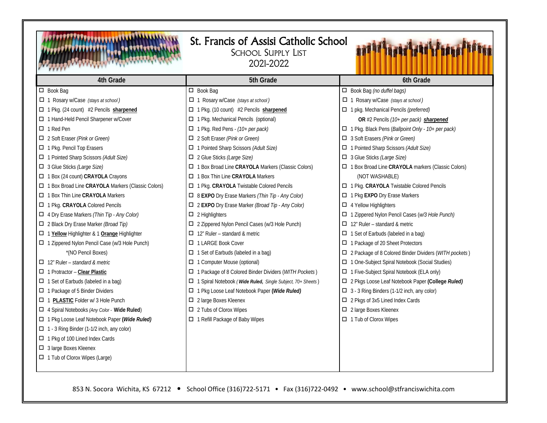|                                                     | St. Francis of Assisi Catholic School<br><b>SCHOOL SUPPLY LIST</b><br>2021-2022 |                                                         |  |  |
|-----------------------------------------------------|---------------------------------------------------------------------------------|---------------------------------------------------------|--|--|
| 4th Grade                                           | 5th Grade                                                                       | 6th Grade                                               |  |  |
| □ Book Bag                                          | □ Book Bag                                                                      | $\Box$ Book Bag (no duffel bags)                        |  |  |
| □ 1 Rosary w/Case (stays at school)                 | □ 1 Rosary w/Case (stays at school)                                             | 1 Rosary w/Case (stays at school)                       |  |  |
| □ 1 Pkg. (24 count) #2 Pencils sharpened            | □ 1 Pkg. (10 count) #2 Pencils sharpened                                        | □ 1 pkg. Mechanical Pencils (preferred)                 |  |  |
| □ 1 Hand-Held Pencil Sharpener w/Cover              | □ 1 Pkg. Mechanical Pencils (optional)                                          | OR #2 Pencils (10+ per pack) sharpened                  |  |  |
| $\Box$ 1 Red Pen                                    | $\Box$ 1 Pkg. Red Pens - (10+ per pack)                                         | □ 1 Pkg. Black Pens (Ballpoint Only - 10+ per pack)     |  |  |
| □ 2 Soft Eraser (Pink or Green)                     | $\Box$ 2 Soft Eraser (Pink or Green)                                            | □ 3 Soft Erasers (Pink or Green)                        |  |  |
| □ 1 Pkg. Pencil Top Erasers                         | □ 1 Pointed Sharp Scissors (Adult Size)                                         | □ 1 Pointed Sharp Scissors (Adult Size)                 |  |  |
| □ 1 Pointed Sharp Scissors (Adult Size)             | □ 2 Glue Sticks (Large Size)                                                    | □ 3 Glue Sticks (Large Size)                            |  |  |
| $\Box$ 3 Glue Sticks (Large Size)                   | □ 1 Box Broad Line CRAYOLA Markers (Classic Colors)                             | □ 1 Box Broad Line CRAYOLA markers (Classic Colors)     |  |  |
| □ 1 Box (24 count) CRAYOLA Crayons                  | □ 1 Box Thin Line CRAYOLA Markers                                               | (NOT WASHABLE)                                          |  |  |
| □ 1 Box Broad Line CRAYOLA Markers (Classic Colors) | I 1 Pkg. CRAYOLA Twistable Colored Pencils                                      | I 1 Pkg. CRAYOLA Twistable Colored Pencils              |  |  |
| □ 1 Box Thin Line CRAYOLA Markers                   | □ 8 EXPO Dry Erase Markers (Thin Tip - Any Color)                               | □ 1 Pkg EXPO Dry Erase Markers                          |  |  |
| I 1 Pkg. CRAYOLA Colored Pencils                    | D 2 EXPO Dry Erase Marker (Broad Tip - Any Color)                               | $\Box$ 4 Yellow Highlighters                            |  |  |
| 4 Dry Erase Markers (Thin Tip - Any Color)          | $\Box$ 2 Highlighters                                                           | $\Box$ 1 Zippered Nylon Pencil Cases (w/3 Hole Punch)   |  |  |
| $\Box$ 2 Black Dry Erase Marker (Broad Tip)         | □ 2 Zippered Nylon Pencil Cases (w/3 Hole Punch)                                | $\Box$ 12" Ruler – standard & metric                    |  |  |
| □ 1 Yellow Highlighter & 1 Orange Highlighter       | $\Box$ 12" Ruler – standard & metric                                            | $\Box$ 1 Set of Earbuds (labeled in a bag)              |  |  |
| □ 1 Zippered Nylon Pencil Case (w/3 Hole Punch)     | □ 1 LARGE Book Cover                                                            | □ 1 Package of 20 Sheet Protectors                      |  |  |
| *(NO Pencil Boxes)                                  | $\Box$ 1 Set of Earbuds (labeled in a bag)                                      | □ 2 Package of 8 Colored Binder Dividers (WITH pockets) |  |  |
| $\Box$ 12" Ruler – standard & metric                | □ 1 Computer Mouse (optional)                                                   | 1 One-Subject Spiral Notebook (Social Studies)          |  |  |
| □ 1 Protractor - Clear Plastic                      | □ 1 Package of 8 Colored Binder Dividers (WITH Pockets)                         | □ 1 Five-Subject Spiral Notebook (ELA only)             |  |  |
| $\Box$ 1 Set of Earbuds (labeled in a bag)          | 1 Spiral Notebook (Wide Ruled, Single Subject, 70+ Sheets)                      | D 2 Pkgs Loose Leaf Notebook Paper (College Ruled)      |  |  |
| □ 1 Package of 5 Binder Dividers                    | □ 1 Pkg Loose Leaf Notebook Paper (Wide Ruled)                                  | $\Box$ 3 - 3 Ring Binders (1-1/2 inch, any color)       |  |  |
| PLASTIC Folder w/ 3 Hole Punch<br>$\Box$ 1          | □ 2 large Boxes Kleenex                                                         | □ 2 Pkgs of 3x5 Lined Index Cards                       |  |  |
| 4 Spiral Notebooks (Any Color - Wide Ruled)         | □ 2 Tubs of Clorox Wipes                                                        | $\Box$ 2 large Boxes Kleenex                            |  |  |
| □ 1 Pkg Loose Leaf Notebook Paper (Wide Ruled)      | □ 1 Refill Package of Baby Wipes                                                | □ 1 Tub of Clorox Wipes                                 |  |  |
| $\Box$ 1 - 3 Ring Binder (1-1/2 inch, any color)    |                                                                                 |                                                         |  |  |
| □ 1 Pkg of 100 Lined Index Cards                    |                                                                                 |                                                         |  |  |
| $\Box$ 3 large Boxes Kleenex                        |                                                                                 |                                                         |  |  |
| □ 1 Tub of Clorox Wipes (Large)                     |                                                                                 |                                                         |  |  |
|                                                     |                                                                                 |                                                         |  |  |

853 N. Socora Wichita, KS 67212 • School Office (316)722-5171 • Fax (316)722-0492 • www.school@stfranciswichita.com